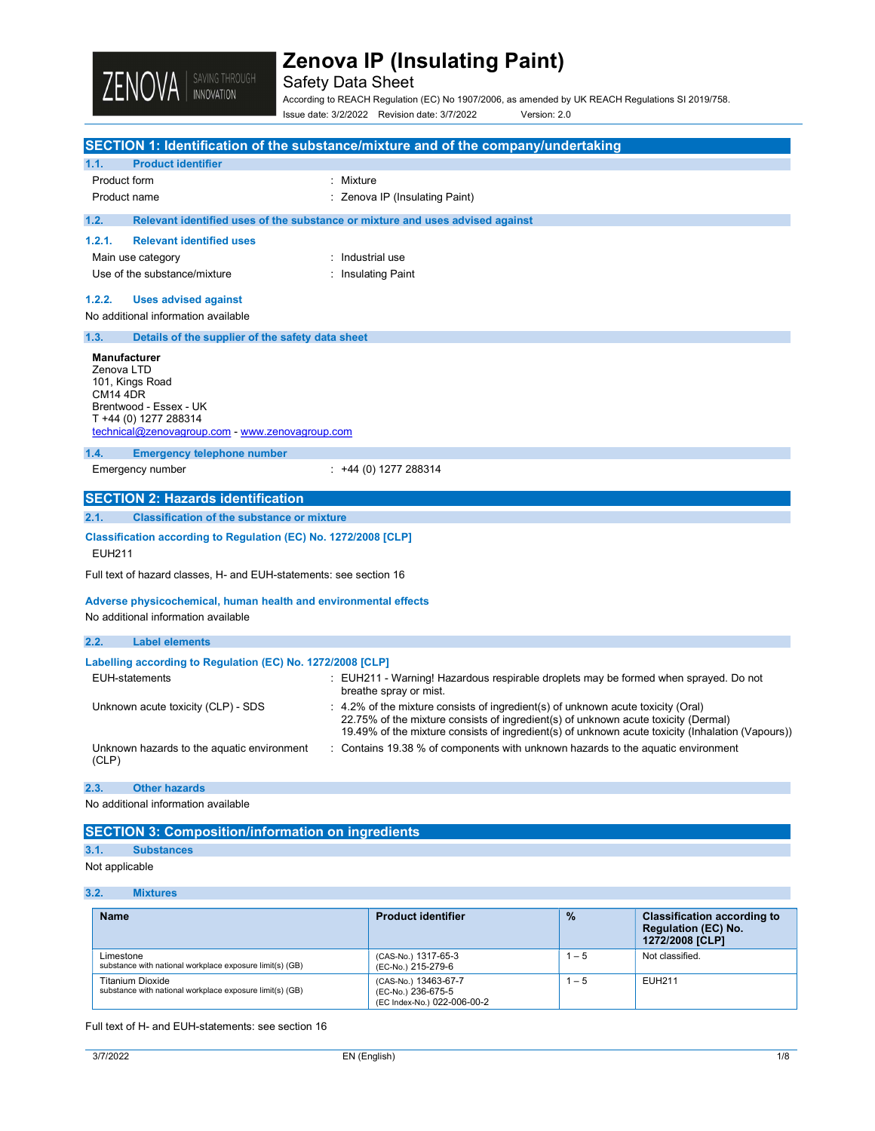

## Safety Data Sheet

According to REACH Regulation (EC) No 1907/2006, as amended by UK REACH Regulations SI 2019/758. Issue date: 3/2/2022 Revision date: 3/7/2022 Version: 2.0

|                                                                                  | SECTION 1: Identification of the substance/mixture and of the company/undertaking                                                                                                                                                                                          |
|----------------------------------------------------------------------------------|----------------------------------------------------------------------------------------------------------------------------------------------------------------------------------------------------------------------------------------------------------------------------|
| <b>Product identifier</b><br>1.1.                                                |                                                                                                                                                                                                                                                                            |
| Product form                                                                     | : Mixture                                                                                                                                                                                                                                                                  |
| Product name                                                                     | : Zenova IP (Insulating Paint)                                                                                                                                                                                                                                             |
| 1.2.                                                                             | Relevant identified uses of the substance or mixture and uses advised against                                                                                                                                                                                              |
| 1.2.1.<br><b>Relevant identified uses</b>                                        |                                                                                                                                                                                                                                                                            |
| Main use category                                                                | : Industrial use                                                                                                                                                                                                                                                           |
| Use of the substance/mixture                                                     | : Insulating Paint                                                                                                                                                                                                                                                         |
| 1.2.2.<br><b>Uses advised against</b>                                            |                                                                                                                                                                                                                                                                            |
| No additional information available                                              |                                                                                                                                                                                                                                                                            |
| 1.3.<br>Details of the supplier of the safety data sheet                         |                                                                                                                                                                                                                                                                            |
| <b>Manufacturer</b>                                                              |                                                                                                                                                                                                                                                                            |
| Zenova LTD                                                                       |                                                                                                                                                                                                                                                                            |
| 101, Kings Road<br><b>CM14 4DR</b>                                               |                                                                                                                                                                                                                                                                            |
| Brentwood - Essex - UK                                                           |                                                                                                                                                                                                                                                                            |
| T +44 (0) 1277 288314<br>technical@zenovagroup.com - www.zenovagroup.com         |                                                                                                                                                                                                                                                                            |
|                                                                                  |                                                                                                                                                                                                                                                                            |
| 1.4.<br><b>Emergency telephone number</b>                                        |                                                                                                                                                                                                                                                                            |
| Emergency number                                                                 | $: +44(0)$ 1277 288314                                                                                                                                                                                                                                                     |
| <b>SECTION 2: Hazards identification</b>                                         |                                                                                                                                                                                                                                                                            |
| 2.1.<br><b>Classification of the substance or mixture</b>                        |                                                                                                                                                                                                                                                                            |
| Classification according to Regulation (EC) No. 1272/2008 [CLP]<br><b>EUH211</b> |                                                                                                                                                                                                                                                                            |
| Full text of hazard classes, H- and EUH-statements: see section 16               |                                                                                                                                                                                                                                                                            |
| Adverse physicochemical, human health and environmental effects                  |                                                                                                                                                                                                                                                                            |
| No additional information available                                              |                                                                                                                                                                                                                                                                            |
| 2.2.<br><b>Label elements</b>                                                    |                                                                                                                                                                                                                                                                            |
| Labelling according to Regulation (EC) No. 1272/2008 [CLP]                       |                                                                                                                                                                                                                                                                            |
| <b>EUH-statements</b>                                                            | : EUH211 - Warning! Hazardous respirable droplets may be formed when sprayed. Do not<br>breathe spray or mist.                                                                                                                                                             |
| Unknown acute toxicity (CLP) - SDS                                               | : 4.2% of the mixture consists of ingredient(s) of unknown acute toxicity (Oral)<br>22.75% of the mixture consists of ingredient(s) of unknown acute toxicity (Dermal)<br>19.49% of the mixture consists of ingredient(s) of unknown acute toxicity (Inhalation (Vapours)) |
| Unknown hazards to the aquatic environment<br>(CLP)                              | : Contains 19.38 % of components with unknown hazards to the aquatic environment                                                                                                                                                                                           |
| <b>Other hazards</b><br>2.3.                                                     |                                                                                                                                                                                                                                                                            |
| No additional information available                                              |                                                                                                                                                                                                                                                                            |

SECTION 3: Composition/information on ingredients

### 3.1. Substances

### Not applicable

#### 3.2. Mixtures

| <b>Name</b>                                                                         | <b>Product identifier</b>                                                 | $\frac{9}{6}$ | <b>Classification according to</b><br><b>Regulation (EC) No.</b><br>1272/2008 [CLP] |
|-------------------------------------------------------------------------------------|---------------------------------------------------------------------------|---------------|-------------------------------------------------------------------------------------|
| Limestone<br>substance with national workplace exposure limit(s) (GB)               | (CAS-No.) 1317-65-3<br>(EC-No.) 215-279-6                                 | $-5$          | Not classified.                                                                     |
| <b>Titanium Dioxide</b><br>substance with national workplace exposure limit(s) (GB) | (CAS-No.) 13463-67-7<br>(EC-No.) 236-675-5<br>(EC Index-No.) 022-006-00-2 | $-5$          | EUH211                                                                              |

Full text of H- and EUH-statements: see section 16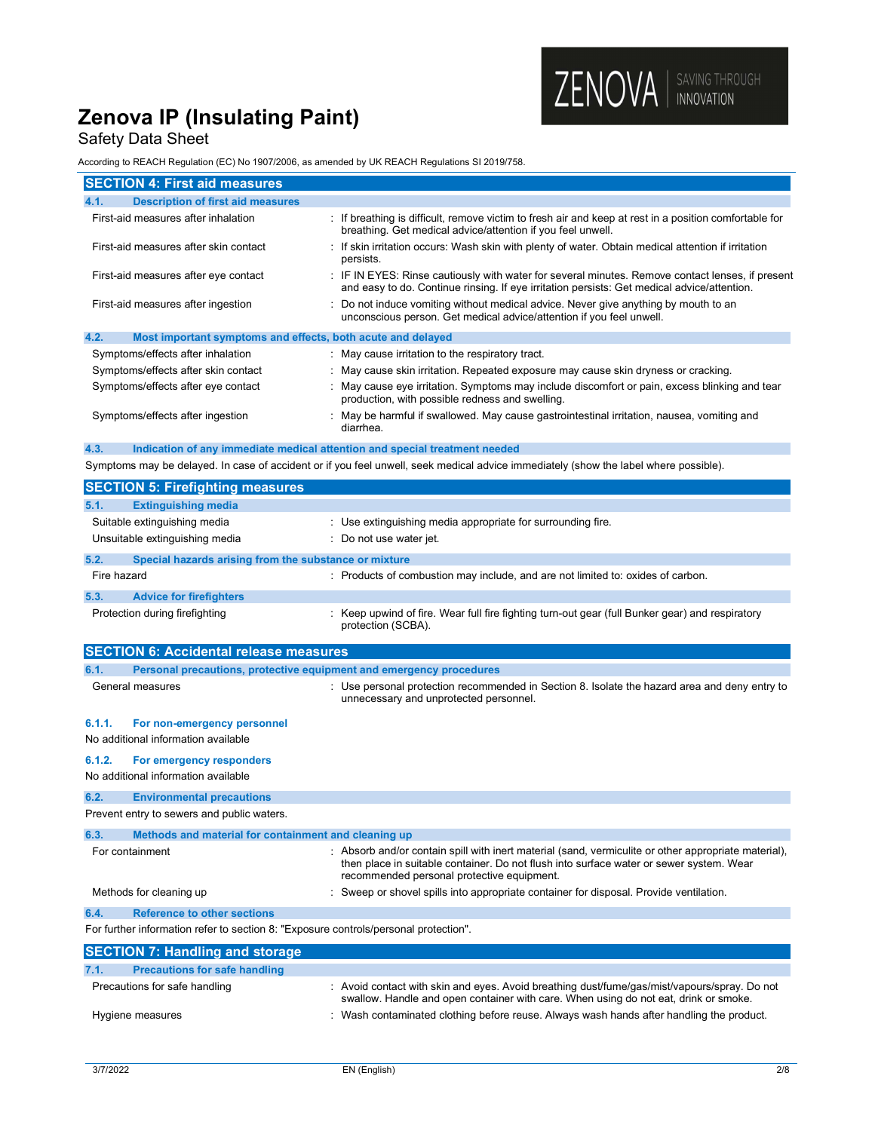## Safety Data Sheet

According to REACH Regulation (EC) No 1907/2006, as amended by UK REACH Regulations SI 2019/758.

| According to REACH Regulation (EC) NO 1907/2006, as amended by ON REACH Regulations 31 2019/756. |                                                                                                                                                                                                                                               |  |
|--------------------------------------------------------------------------------------------------|-----------------------------------------------------------------------------------------------------------------------------------------------------------------------------------------------------------------------------------------------|--|
| <b>SECTION 4: First aid measures</b>                                                             |                                                                                                                                                                                                                                               |  |
| <b>Description of first aid measures</b><br>4.1.                                                 |                                                                                                                                                                                                                                               |  |
| First-aid measures after inhalation                                                              | : If breathing is difficult, remove victim to fresh air and keep at rest in a position comfortable for<br>breathing. Get medical advice/attention if you feel unwell.                                                                         |  |
| First-aid measures after skin contact                                                            | : If skin irritation occurs: Wash skin with plenty of water. Obtain medical attention if irritation<br>persists.                                                                                                                              |  |
| First-aid measures after eye contact                                                             | : IF IN EYES: Rinse cautiously with water for several minutes. Remove contact lenses, if present<br>and easy to do. Continue rinsing. If eye irritation persists: Get medical advice/attention.                                               |  |
| First-aid measures after ingestion                                                               | : Do not induce vomiting without medical advice. Never give anything by mouth to an<br>unconscious person. Get medical advice/attention if you feel unwell.                                                                                   |  |
| 4.2.<br>Most important symptoms and effects, both acute and delayed                              |                                                                                                                                                                                                                                               |  |
| Symptoms/effects after inhalation                                                                | : May cause irritation to the respiratory tract.                                                                                                                                                                                              |  |
| Symptoms/effects after skin contact                                                              | May cause skin irritation. Repeated exposure may cause skin dryness or cracking.                                                                                                                                                              |  |
| Symptoms/effects after eye contact                                                               | : May cause eye irritation. Symptoms may include discomfort or pain, excess blinking and tear<br>production, with possible redness and swelling.                                                                                              |  |
| Symptoms/effects after ingestion                                                                 | : May be harmful if swallowed. May cause gastrointestinal irritation, nausea, vomiting and<br>diarrhea.                                                                                                                                       |  |
| 4.3.                                                                                             | Indication of any immediate medical attention and special treatment needed                                                                                                                                                                    |  |
|                                                                                                  | Symptoms may be delayed. In case of accident or if you feel unwell, seek medical advice immediately (show the label where possible).                                                                                                          |  |
| <b>SECTION 5: Firefighting measures</b>                                                          |                                                                                                                                                                                                                                               |  |
| 5.1.<br><b>Extinguishing media</b>                                                               |                                                                                                                                                                                                                                               |  |
| Suitable extinguishing media                                                                     | : Use extinguishing media appropriate for surrounding fire.                                                                                                                                                                                   |  |
| Unsuitable extinguishing media                                                                   | Do not use water jet.                                                                                                                                                                                                                         |  |
| 5.2.<br>Special hazards arising from the substance or mixture                                    |                                                                                                                                                                                                                                               |  |
| Fire hazard                                                                                      | : Products of combustion may include, and are not limited to: oxides of carbon.                                                                                                                                                               |  |
| 5.3.<br><b>Advice for firefighters</b>                                                           |                                                                                                                                                                                                                                               |  |
| Protection during firefighting                                                                   | : Keep upwind of fire. Wear full fire fighting turn-out gear (full Bunker gear) and respiratory<br>protection (SCBA).                                                                                                                         |  |
| <b>SECTION 6: Accidental release measures</b>                                                    |                                                                                                                                                                                                                                               |  |
| 6.1.                                                                                             | Personal precautions, protective equipment and emergency procedures                                                                                                                                                                           |  |
| General measures                                                                                 | : Use personal protection recommended in Section 8. Isolate the hazard area and deny entry to<br>unnecessary and unprotected personnel.                                                                                                       |  |
| 6.1.1.<br>For non-emergency personnel<br>No additional information available                     |                                                                                                                                                                                                                                               |  |
| 6.1.2.<br>For emergency responders                                                               |                                                                                                                                                                                                                                               |  |
| No additional information available                                                              |                                                                                                                                                                                                                                               |  |
| 6.2.<br><b>Environmental precautions</b>                                                         |                                                                                                                                                                                                                                               |  |
| Prevent entry to sewers and public waters.                                                       |                                                                                                                                                                                                                                               |  |
| 6.3.<br>Methods and material for containment and cleaning up                                     |                                                                                                                                                                                                                                               |  |
| For containment                                                                                  | : Absorb and/or contain spill with inert material (sand, vermiculite or other appropriate material),<br>then place in suitable container. Do not flush into surface water or sewer system. Wear<br>recommended personal protective equipment. |  |
| Methods for cleaning up                                                                          | : Sweep or shovel spills into appropriate container for disposal. Provide ventilation.                                                                                                                                                        |  |
| <b>Reference to other sections</b><br>6.4.                                                       |                                                                                                                                                                                                                                               |  |

For further information refer to section 8: "Exposure controls/personal protection".

| <b>SECTION 7: Handling and storage</b>       |                                                                                                                                                                                      |  |  |
|----------------------------------------------|--------------------------------------------------------------------------------------------------------------------------------------------------------------------------------------|--|--|
| 7.1.<br><b>Precautions for safe handling</b> |                                                                                                                                                                                      |  |  |
| Precautions for safe handling                | : Avoid contact with skin and eyes. Avoid breathing dust/fume/gas/mist/vapours/spray. Do not<br>swallow. Handle and open container with care. When using do not eat, drink or smoke. |  |  |
| Hygiene measures                             | : Wash contaminated clothing before reuse. Always wash hands after handling the product.                                                                                             |  |  |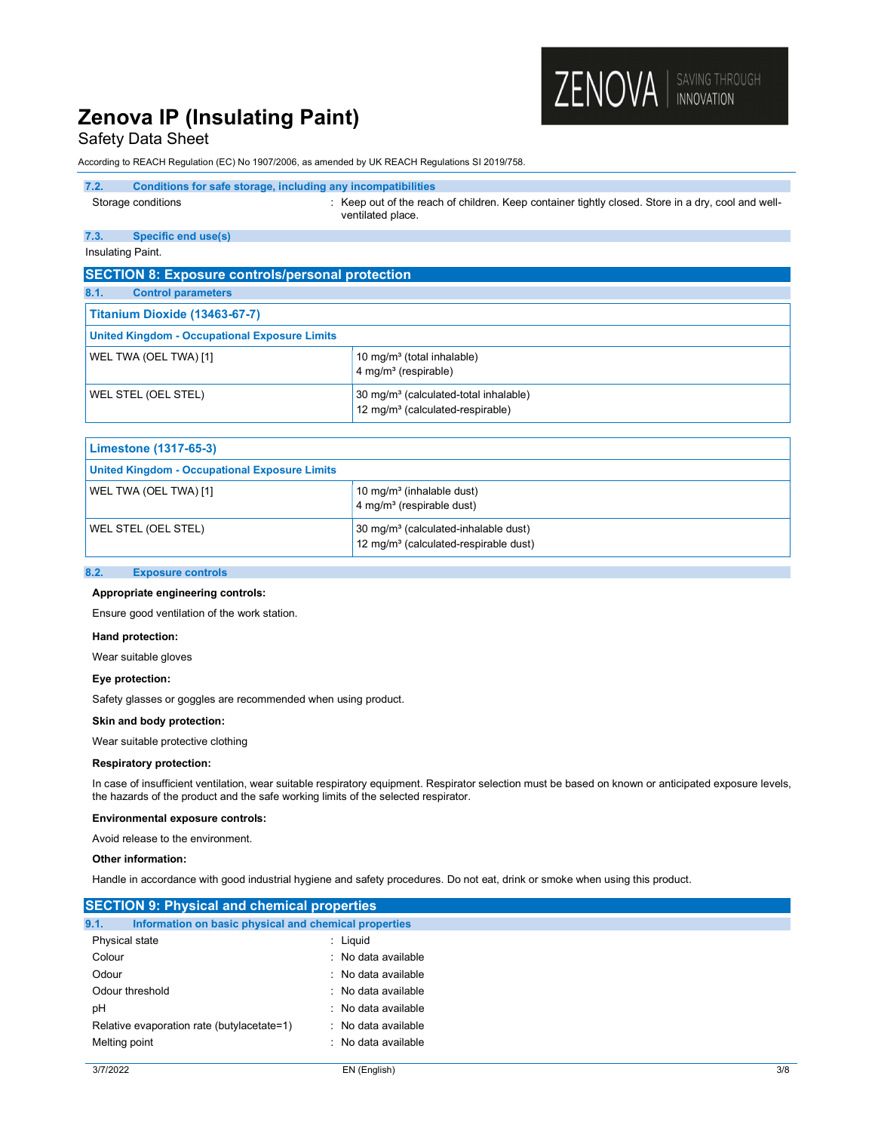### Safety Data Sheet

According to REACH Regulation (EC) No 1907/2006, as amended by UK REACH Regulations SI 2019/758.

#### 7.2. Conditions for safe storage, including any incompatibilities

Storage conditions **Storage conditions** : Keep out of the reach of children. Keep container tightly closed. Store in a dry, cool and wellventilated place.

ZENOVA | SAVING THROUGH

#### 7.3. Specific end use(s)

Insulating Paint.

| <b>SECTION 8: Exposure controls/personal protection</b> |                                                                                                   |  |
|---------------------------------------------------------|---------------------------------------------------------------------------------------------------|--|
| 8.1.<br><b>Control parameters</b>                       |                                                                                                   |  |
| Titanium Dioxide (13463-67-7)                           |                                                                                                   |  |
| <b>United Kingdom - Occupational Exposure Limits</b>    |                                                                                                   |  |
| WEL TWA (OEL TWA) [1]                                   | 10 mg/m <sup>3</sup> (total inhalable)<br>$4$ mg/m <sup>3</sup> (respirable)                      |  |
| WEL STEL (OEL STEL)                                     | 30 mg/m <sup>3</sup> (calculated-total inhalable)<br>12 mg/m <sup>3</sup> (calculated-respirable) |  |

| Limestone (1317-65-3)                                |                                                                                                       |
|------------------------------------------------------|-------------------------------------------------------------------------------------------------------|
| <b>United Kingdom - Occupational Exposure Limits</b> |                                                                                                       |
| WEL TWA (OEL TWA) [1]                                | 10 mg/m <sup>3</sup> (inhalable dust)<br>4 mg/m <sup>3</sup> (respirable dust)                        |
| WEL STEL (OEL STEL)                                  | 30 mg/m <sup>3</sup> (calculated-inhalable dust)<br>12 mg/m <sup>3</sup> (calculated-respirable dust) |

#### 8.2. Exposure controls

#### Appropriate engineering controls:

Ensure good ventilation of the work station.

#### Hand protection:

Wear suitable gloves

#### Eye protection:

Safety glasses or goggles are recommended when using product.

#### Skin and body protection:

Wear suitable protective clothing

#### Respiratory protection:

In case of insufficient ventilation, wear suitable respiratory equipment. Respirator selection must be based on known or anticipated exposure levels, the hazards of the product and the safe working limits of the selected respirator.

#### Environmental exposure controls:

Avoid release to the environment.

#### Other information:

Handle in accordance with good industrial hygiene and safety procedures. Do not eat, drink or smoke when using this product.

| <b>SECTION 9: Physical and chemical properties</b>            |                     |  |
|---------------------------------------------------------------|---------------------|--|
| 9.1.<br>Information on basic physical and chemical properties |                     |  |
| Physical state                                                | : Liguid            |  |
| Colour                                                        | : No data available |  |
| Odour                                                         | : No data available |  |
| Odour threshold                                               | : No data available |  |
| pH                                                            | : No data available |  |
| Relative evaporation rate (butylacetate=1)                    | : No data available |  |
| Melting point                                                 | : No data available |  |
|                                                               |                     |  |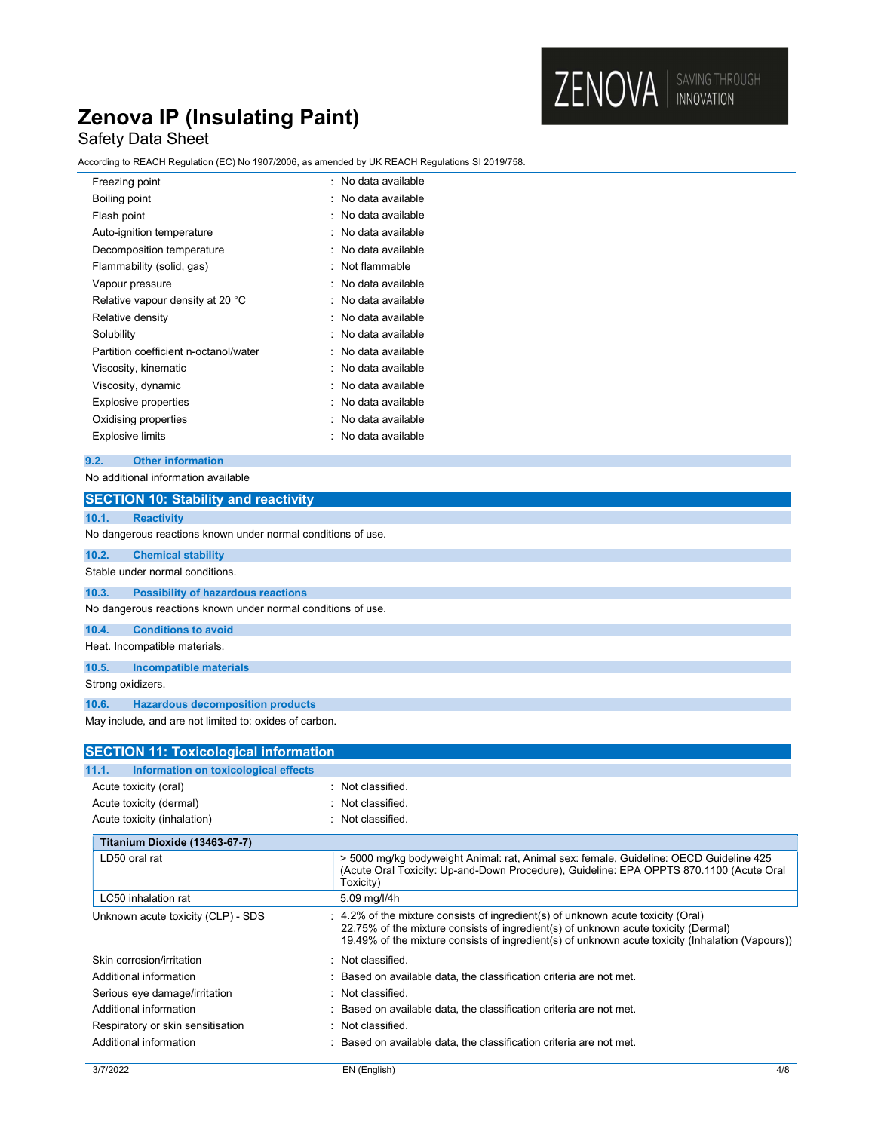## Safety Data Sheet

According to REACH Regulation (EC) No 1907/2006, as amended by UK REACH Regulations SI 2019/758.

| Freezing point                        | No data available   |
|---------------------------------------|---------------------|
| Boiling point                         | : No data available |
| Flash point                           | No data available   |
| Auto-ignition temperature             | No data available   |
| Decomposition temperature             | : No data available |
| Flammability (solid, gas)             | Not flammable       |
| Vapour pressure                       | No data available   |
| Relative vapour density at 20 °C      | No data available   |
| Relative density                      | No data available   |
| Solubility                            | : No data available |
| Partition coefficient n-octanol/water | No data available   |
| Viscosity, kinematic                  | : No data available |
| Viscosity, dynamic                    | No data available   |
| Explosive properties                  | No data available   |
| Oxidising properties                  | : No data available |
| Explosive limits                      | No data available   |
|                                       |                     |

#### 9.2. Other information

No additional information available

|                   | iyo additional imomiation available                          |                                                                                                                                                                                                                                                                          |
|-------------------|--------------------------------------------------------------|--------------------------------------------------------------------------------------------------------------------------------------------------------------------------------------------------------------------------------------------------------------------------|
|                   | <b>SECTION 10: Stability and reactivity</b>                  |                                                                                                                                                                                                                                                                          |
| 10.1.             | <b>Reactivity</b>                                            |                                                                                                                                                                                                                                                                          |
|                   | No dangerous reactions known under normal conditions of use. |                                                                                                                                                                                                                                                                          |
| 10.2.             | <b>Chemical stability</b>                                    |                                                                                                                                                                                                                                                                          |
|                   | Stable under normal conditions.                              |                                                                                                                                                                                                                                                                          |
| 10.3.             | <b>Possibility of hazardous reactions</b>                    |                                                                                                                                                                                                                                                                          |
|                   | No dangerous reactions known under normal conditions of use. |                                                                                                                                                                                                                                                                          |
| 10.4.             | <b>Conditions to avoid</b>                                   |                                                                                                                                                                                                                                                                          |
|                   | Heat. Incompatible materials.                                |                                                                                                                                                                                                                                                                          |
| 10.5.             | <b>Incompatible materials</b>                                |                                                                                                                                                                                                                                                                          |
| Strong oxidizers. |                                                              |                                                                                                                                                                                                                                                                          |
| 10.6.             | <b>Hazardous decomposition products</b>                      |                                                                                                                                                                                                                                                                          |
|                   | May include, and are not limited to: oxides of carbon.       |                                                                                                                                                                                                                                                                          |
|                   |                                                              |                                                                                                                                                                                                                                                                          |
|                   | <b>SECTION 11: Toxicological information</b>                 |                                                                                                                                                                                                                                                                          |
| 11.1.             | Information on toxicological effects                         |                                                                                                                                                                                                                                                                          |
|                   | Acute toxicity (oral)                                        | : Not classified.                                                                                                                                                                                                                                                        |
|                   | Acute toxicity (dermal)                                      | : Not classified.                                                                                                                                                                                                                                                        |
|                   | Acute toxicity (inhalation)                                  | : Not classified.                                                                                                                                                                                                                                                        |
|                   | Titanium Dioxide (13463-67-7)                                |                                                                                                                                                                                                                                                                          |
|                   | LD50 oral rat                                                | > 5000 mg/kg bodyweight Animal: rat, Animal sex: female, Guideline: OECD Guideline 425<br>(Acute Oral Toxicity: Up-and-Down Procedure), Guideline: EPA OPPTS 870.1100 (Acute Oral<br>Toxicity)                                                                           |
|                   | LC50 inhalation rat                                          | 5.09 mg/l/4h                                                                                                                                                                                                                                                             |
|                   | Unknown acute toxicity (CLP) - SDS                           | 4.2% of the mixture consists of ingredient(s) of unknown acute toxicity (Oral)<br>22.75% of the mixture consists of ingredient(s) of unknown acute toxicity (Dermal)<br>19.49% of the mixture consists of ingredient(s) of unknown acute toxicity (Inhalation (Vapours)) |
|                   | Skin corrosion/irritation                                    | Not classified.                                                                                                                                                                                                                                                          |
|                   | Additional information                                       | Based on available data, the classification criteria are not met.                                                                                                                                                                                                        |
|                   | Serious eye damage/irritation                                | Not classified.                                                                                                                                                                                                                                                          |
|                   | Additional information                                       | Based on available data, the classification criteria are not met.                                                                                                                                                                                                        |
|                   | Respiratory or skin sensitisation                            | Not classified.                                                                                                                                                                                                                                                          |
|                   | Additional information                                       | Based on available data, the classification criteria are not met.                                                                                                                                                                                                        |
| 3/7/2022          |                                                              | 4/8<br>EN (English)                                                                                                                                                                                                                                                      |
|                   |                                                              |                                                                                                                                                                                                                                                                          |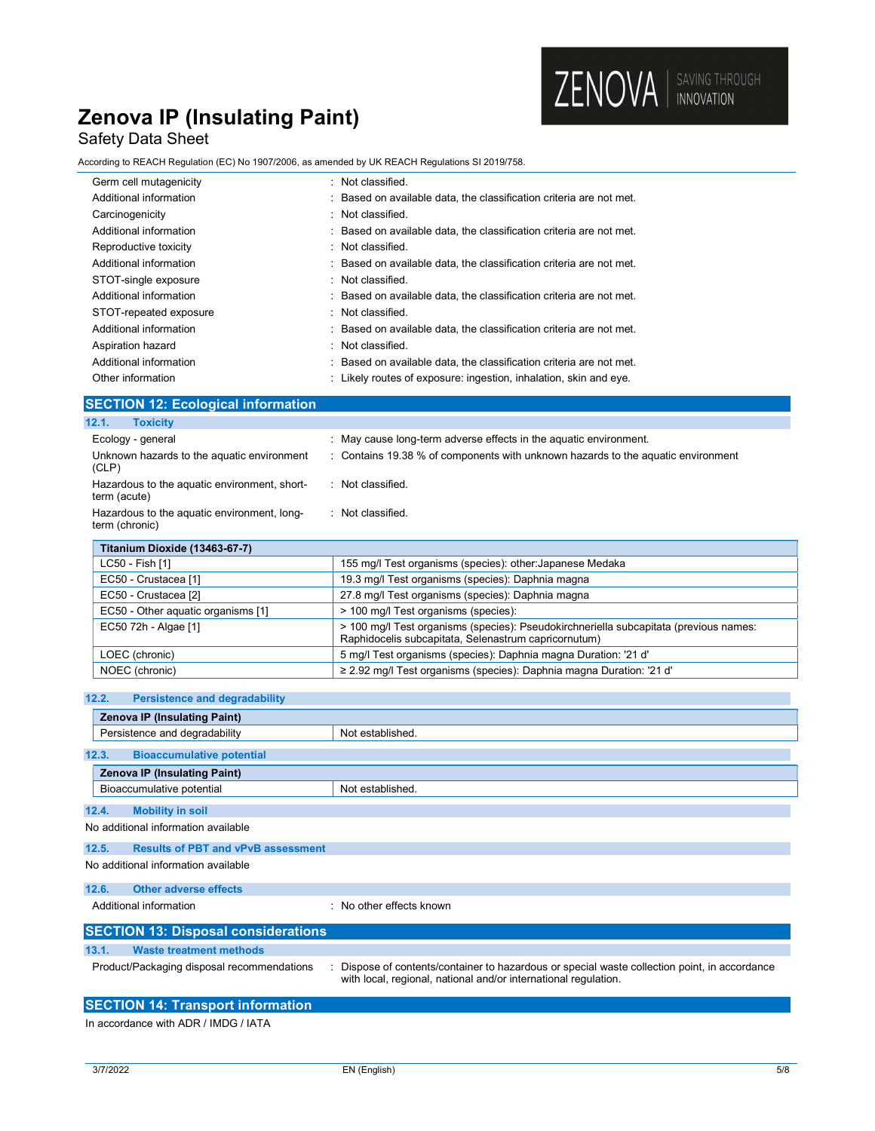## Safety Data Sheet

According to REACH Regulation (EC) No 1907/2006, as amended by UK REACH Regulations SI 2019/758.

| Germ cell mutagenicity | : Not classified.                                                   |
|------------------------|---------------------------------------------------------------------|
| Additional information | : Based on available data, the classification criteria are not met. |
| Carcinogenicity        | : Not classified.                                                   |
| Additional information | : Based on available data, the classification criteria are not met. |
| Reproductive toxicity  | : Not classified.                                                   |
| Additional information | : Based on available data, the classification criteria are not met. |
| STOT-single exposure   | : Not classified.                                                   |
| Additional information | : Based on available data, the classification criteria are not met. |
| STOT-repeated exposure | : Not classified.                                                   |
| Additional information | : Based on available data, the classification criteria are not met. |
| Aspiration hazard      | : Not classified.                                                   |
| Additional information | : Based on available data, the classification criteria are not met. |
| Other information      | : Likely routes of exposure: ingestion, inhalation, skin and eye.   |

ZENOVA | SAVING THROUGH

### SECTION 12: Ecological information

| 12.1.<br><b>Toxicity</b>                                      |                                                                                  |
|---------------------------------------------------------------|----------------------------------------------------------------------------------|
| Ecology - general                                             | : May cause long-term adverse effects in the aquatic environment.                |
| Unknown hazards to the aquatic environment<br>(CLP)           | : Contains 19.38 % of components with unknown hazards to the aquatic environment |
| Hazardous to the aquatic environment, short-<br>term (acute)  | : Not classified.                                                                |
| Hazardous to the aquatic environment, long-<br>term (chronic) | : Not classified.                                                                |
| Titanium Dioxide (13463-67-7)                                 |                                                                                  |

| LC50 - Fish [1]                    | 155 mg/l Test organisms (species): other: Japanese Medaka                                                                                     |
|------------------------------------|-----------------------------------------------------------------------------------------------------------------------------------------------|
| EC50 - Crustacea [1]               | 19.3 mg/l Test organisms (species): Daphnia magna                                                                                             |
| EC50 - Crustacea [2]               | 27.8 mg/l Test organisms (species): Daphnia magna                                                                                             |
| EC50 - Other aquatic organisms [1] | > 100 mg/l Test organisms (species):                                                                                                          |
| EC50 72h - Algae [1]               | > 100 mg/l Test organisms (species): Pseudokirchneriella subcapitata (previous names:<br>Raphidocelis subcapitata, Selenastrum capricornutum) |
| LOEC (chronic)                     | 5 mg/l Test organisms (species): Daphnia magna Duration: '21 d'                                                                               |
| NOEC (chronic)                     | $\geq$ 2.92 mg/l Test organisms (species): Daphnia magna Duration: '21 d'                                                                     |
|                                    |                                                                                                                                               |

| <b>Persistence and degradability</b><br>12.2.      |                                                                                                                                                                |  |
|----------------------------------------------------|----------------------------------------------------------------------------------------------------------------------------------------------------------------|--|
| <b>Zenova IP (Insulating Paint)</b>                |                                                                                                                                                                |  |
| Persistence and degradability                      | Not established.                                                                                                                                               |  |
| <b>Bioaccumulative potential</b><br>12.3.          |                                                                                                                                                                |  |
| <b>Zenova IP (Insulating Paint)</b>                |                                                                                                                                                                |  |
| Bioaccumulative potential                          | Not established.                                                                                                                                               |  |
| 12.4.<br><b>Mobility in soil</b>                   |                                                                                                                                                                |  |
| No additional information available                |                                                                                                                                                                |  |
| <b>Results of PBT and vPvB assessment</b><br>12.5. |                                                                                                                                                                |  |
| No additional information available                |                                                                                                                                                                |  |
| <b>Other adverse effects</b><br>12.6.              |                                                                                                                                                                |  |
| Additional information                             | $\cdot$ No other effects known                                                                                                                                 |  |
| <b>SECTION 13: Disposal considerations</b>         |                                                                                                                                                                |  |
| 13.1.<br><b>Waste treatment methods</b>            |                                                                                                                                                                |  |
| Product/Packaging disposal recommendations         | Dispose of contents/container to hazardous or special waste collection point, in accordance<br>with local, regional, national and/or international regulation. |  |
| <b>SECTION 14: Transport information</b>           |                                                                                                                                                                |  |

In accordance with ADR / IMDG / IATA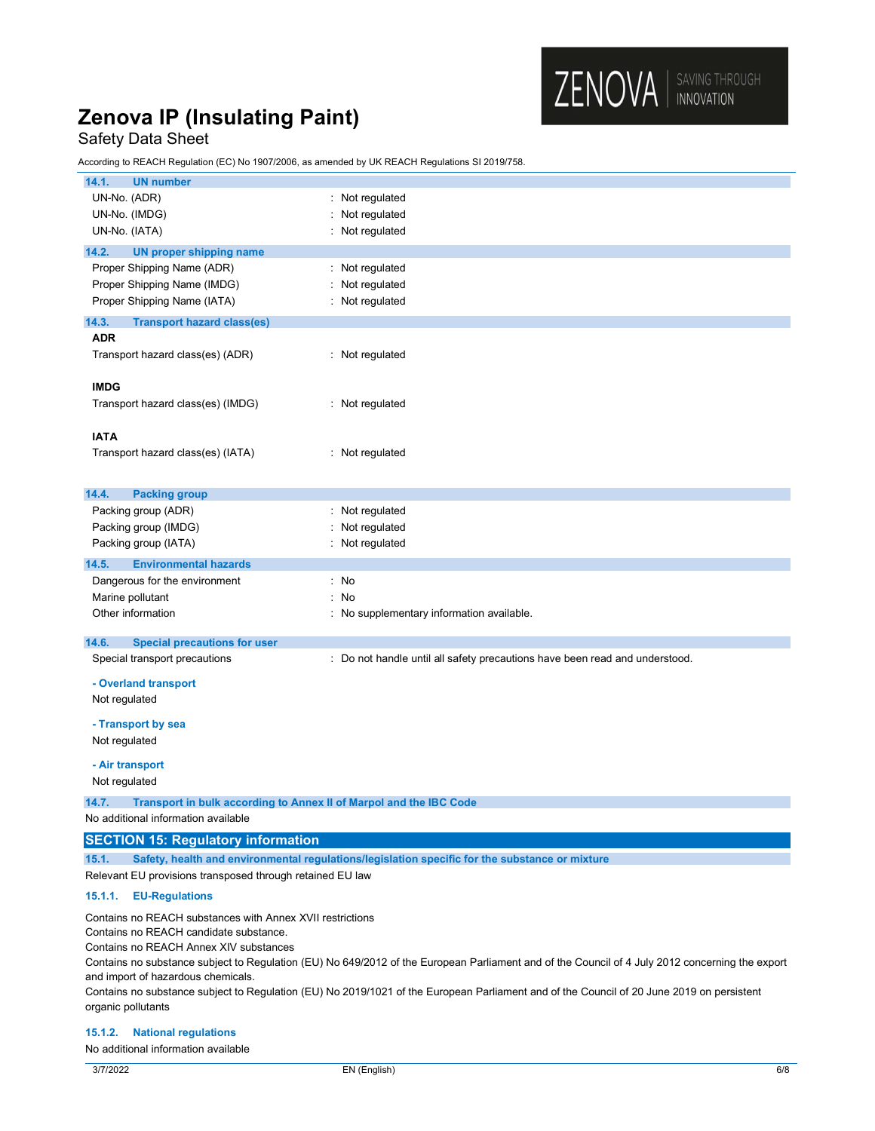### Safety Data Sheet

According to REACH Regulation (EC) No 1907/2006, as amended by UK REACH Regulations SI 2019/758.

| 14.1.<br><b>UN number</b>                                                                                          |                                                                             |  |
|--------------------------------------------------------------------------------------------------------------------|-----------------------------------------------------------------------------|--|
| UN-No. (ADR)                                                                                                       | : Not regulated                                                             |  |
| UN-No. (IMDG)                                                                                                      | : Not regulated                                                             |  |
| UN-No. (IATA)                                                                                                      | : Not regulated                                                             |  |
| 14.2.<br><b>UN proper shipping name</b>                                                                            |                                                                             |  |
| Proper Shipping Name (ADR)                                                                                         | : Not regulated                                                             |  |
| Proper Shipping Name (IMDG)                                                                                        | Not regulated                                                               |  |
| Proper Shipping Name (IATA)                                                                                        | : Not regulated                                                             |  |
| 14.3.<br><b>Transport hazard class(es)</b>                                                                         |                                                                             |  |
| <b>ADR</b>                                                                                                         |                                                                             |  |
| Transport hazard class(es) (ADR)                                                                                   | : Not regulated                                                             |  |
| <b>IMDG</b>                                                                                                        |                                                                             |  |
| Transport hazard class(es) (IMDG)                                                                                  | : Not regulated                                                             |  |
| <b>IATA</b>                                                                                                        |                                                                             |  |
| Transport hazard class(es) (IATA)                                                                                  | : Not regulated                                                             |  |
|                                                                                                                    |                                                                             |  |
| 14.4.<br><b>Packing group</b>                                                                                      |                                                                             |  |
| Packing group (ADR)                                                                                                | : Not regulated                                                             |  |
| Packing group (IMDG)                                                                                               | Not regulated                                                               |  |
| Packing group (IATA)                                                                                               | : Not regulated                                                             |  |
| 14.5.<br><b>Environmental hazards</b>                                                                              |                                                                             |  |
| Dangerous for the environment                                                                                      | : No                                                                        |  |
| Marine pollutant                                                                                                   | : No                                                                        |  |
| Other information                                                                                                  | : No supplementary information available.                                   |  |
|                                                                                                                    |                                                                             |  |
| 14.6.<br><b>Special precautions for user</b>                                                                       |                                                                             |  |
| Special transport precautions                                                                                      | : Do not handle until all safety precautions have been read and understood. |  |
| - Overland transport                                                                                               |                                                                             |  |
| Not regulated                                                                                                      |                                                                             |  |
| - Transport by sea                                                                                                 |                                                                             |  |
| Not regulated                                                                                                      |                                                                             |  |
|                                                                                                                    |                                                                             |  |
| - Air transport<br>Not regulated                                                                                   |                                                                             |  |
|                                                                                                                    |                                                                             |  |
| 14.7.<br>Transport in bulk according to Annex II of Marpol and the IBC Code<br>No additional information available |                                                                             |  |
| <b>SECTION 15: Regulatory information</b>                                                                          |                                                                             |  |
|                                                                                                                    |                                                                             |  |
| 15.1.<br>Safety, health and environmental regulations/legislation specific for the substance or mixture            |                                                                             |  |

Relevant EU provisions transposed through retained EU law

### 15.1.1. EU-Regulations

Contains no REACH substances with Annex XVII restrictions

Contains no REACH candidate substance.

Contains no REACH Annex XIV substances

Contains no substance subject to Regulation (EU) No 649/2012 of the European Parliament and of the Council of 4 July 2012 concerning the export and import of hazardous chemicals.

Contains no substance subject to Regulation (EU) No 2019/1021 of the European Parliament and of the Council of 20 June 2019 on persistent organic pollutants

#### 15.1.2. National regulations

No additional information available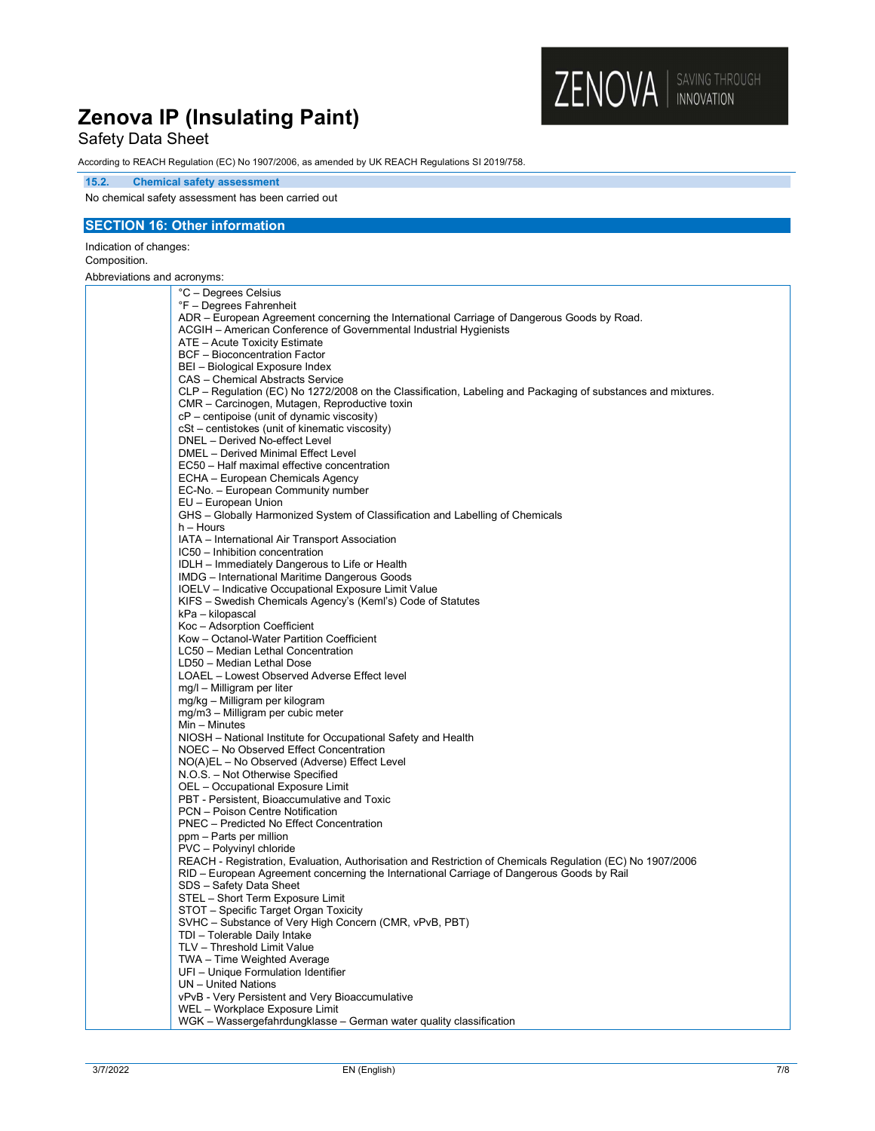## Safety Data Sheet

According to REACH Regulation (EC) No 1907/2006, as amended by UK REACH Regulations SI 2019/758.

#### 15.2. Chemical safety assessment

No chemical safety assessment has been carried out

### SECTION 16: Other information

Indication of changes: Composition.

Abbreviations and acronyms:

| °C - Degrees Celsius                                                                                         |
|--------------------------------------------------------------------------------------------------------------|
| °F - Degrees Fahrenheit                                                                                      |
| ADR - European Agreement concerning the International Carriage of Dangerous Goods by Road.                   |
| ACGIH – American Conference of Governmental Industrial Hygienists                                            |
| ATE - Acute Toxicity Estimate                                                                                |
| <b>BCF</b> - Bioconcentration Factor                                                                         |
| BEI - Biological Exposure Index                                                                              |
| CAS - Chemical Abstracts Service                                                                             |
| CLP – Regulation (EC) No 1272/2008 on the Classification, Labeling and Packaging of substances and mixtures. |
| CMR - Carcinogen, Mutagen, Reproductive toxin                                                                |
| cP – centipoise (unit of dynamic viscosity)                                                                  |
| cSt - centistokes (unit of kinematic viscosity)                                                              |
| DNEL - Derived No-effect Level                                                                               |
| DMEL - Derived Minimal Effect Level                                                                          |
| EC50 - Half maximal effective concentration                                                                  |
| ECHA - European Chemicals Agency                                                                             |
| EC-No. - European Community number                                                                           |
| EU - European Union                                                                                          |
| GHS – Globally Harmonized System of Classification and Labelling of Chemicals                                |
| $h -$ Hours                                                                                                  |
| IATA - International Air Transport Association                                                               |
| IC50 - Inhibition concentration                                                                              |
| IDLH - Immediately Dangerous to Life or Health                                                               |
| IMDG - International Maritime Dangerous Goods                                                                |
| IOELV - Indicative Occupational Exposure Limit Value                                                         |
| KIFS - Swedish Chemicals Agency's (Keml's) Code of Statutes                                                  |
| kPa – kilopascal                                                                                             |
| Koc-Adsorption Coefficient                                                                                   |
| Kow - Octanol-Water Partition Coefficient                                                                    |
| LC50 - Median Lethal Concentration                                                                           |
| LD50 - Median Lethal Dose                                                                                    |
| LOAEL - Lowest Observed Adverse Effect level                                                                 |
| mg/l - Milligram per liter                                                                                   |
| mg/kg - Milligram per kilogram<br>mg/m3 - Milligram per cubic meter                                          |
| Min - Minutes                                                                                                |
| NIOSH - National Institute for Occupational Safety and Health                                                |
| NOEC - No Observed Effect Concentration                                                                      |
| NO(A)EL - No Observed (Adverse) Effect Level                                                                 |
| N.O.S. - Not Otherwise Specified                                                                             |
| OEL - Occupational Exposure Limit                                                                            |
| PBT - Persistent, Bioaccumulative and Toxic                                                                  |
| PCN - Poison Centre Notification                                                                             |
| <b>PNEC</b> – Predicted No Effect Concentration                                                              |
| ppm - Parts per million                                                                                      |
| PVC - Polyvinyl chloride                                                                                     |
| REACH - Registration, Evaluation, Authorisation and Restriction of Chemicals Regulation (EC) No 1907/2006    |
| RID – European Agreement concerning the International Carriage of Dangerous Goods by Rail                    |
| SDS - Safety Data Sheet                                                                                      |
| STEL - Short Term Exposure Limit                                                                             |
| STOT - Specific Target Organ Toxicity                                                                        |
| SVHC - Substance of Very High Concern (CMR, vPvB, PBT)                                                       |
| TDI - Tolerable Daily Intake                                                                                 |
| TLV - Threshold Limit Value                                                                                  |
| TWA – Time Weighted Average                                                                                  |
| UFI - Unique Formulation Identifier                                                                          |
| UN - United Nations                                                                                          |
| vPvB - Very Persistent and Very Bioaccumulative                                                              |
| WEL - Workplace Exposure Limit                                                                               |
| WGK – Wassergefahrdungklasse – German water quality classification                                           |

ZENOVA | SAVING THROUGH